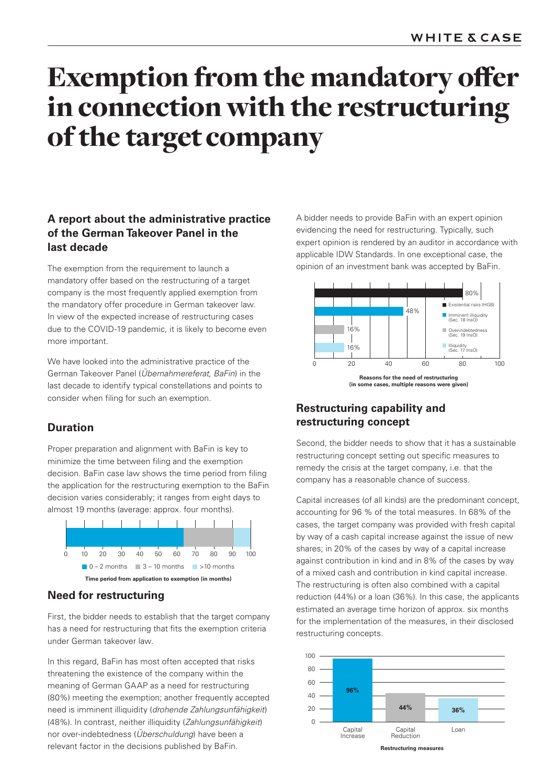# Exemption from the mandatory offer in connection with the restructuring of the target company

## **A report about the administrative practice of the German Takeover Panel in the last decade**

The exemption from the requirement to launch a mandatory offer based on the restructuring of a target company is the most frequently applied exemption from the mandatory offer procedure in German takeover law. In view of the expected increase of restructuring cases due to the COVID-19 pandemic, it is likely to become even more important.

We have looked into the administrative practice of the German Takeover Panel (*Übernahmereferat, BaFin*) in the last decade to identify typical constellations and points to consider when filing for such an exemption.

## **Duration**

Proper preparation and alignment with BaFin is key to minimize the time between filing and the exemption decision. BaFin case law shows the time period from filing the application for the restructuring exemption to the BaFin decision varies considerably; it ranges from eight days to almost 19 months (average: approx. four months).



## **Need for restructuring**

First, the bidder needs to establish that the target company has a need for restructuring that fits the exemption criteria under German takeover law.

In this regard, BaFin has most often accepted that risks threatening the existence of the company within the meaning of German GAAP as a need for restructuring (80%) meeting the exemption; another frequently accepted need is imminent illiquidity (*drohende Zahlungsunfähigkeit*) (48%). In contrast, neither illiquidity (*Zahlungsunfähigkeit*) nor over-indebtedness (*Überschuldung*) have been a relevant factor in the decisions published by BaFin.

A bidder needs to provide BaFin with an expert opinion evidencing the need for restructuring. Typically, such expert opinion is rendered by an auditor in accordance with applicable IDW Standards. In one exceptional case, the opinion of an investment bank was accepted by BaFin.



## **Restructuring capability and restructuring concept**

Second, the bidder needs to show that it has a sustainable restructuring concept setting out specific measures to remedy the crisis at the target company, i.e. that the company has a reasonable chance of success.

Capital increases (of all kinds) are the predominant concept, accounting for 96 % of the total measures. In 68% of the cases, the target company was provided with fresh capital by way of a cash capital increase against the issue of new shares; in 20% of the cases by way of a capital increase against contribution in kind and in 8% of the cases by way of a mixed cash and contribution in kind capital increase. The restructuring is often also combined with a capital reduction (44%) or a loan (36%). In this case, the applicants estimated an average time horizon of approx. six months for the implementation of the measures, in their disclosed restructuring concepts.